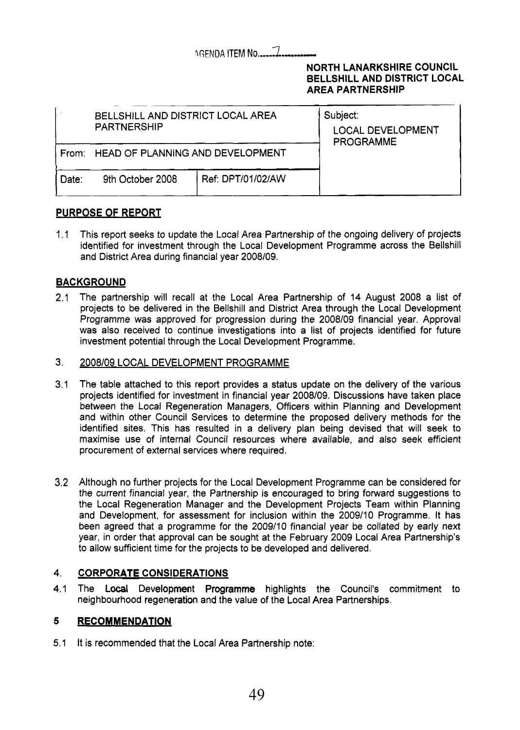## **IGENDA ITEM No..............**

### **NORTH LANARKSHIRE COUNCIL BELLSHILL AND DISTRICT LOCAL AREA PARTNERSHIP**

|       | BELLSHILL AND DISTRICT LOCAL AREA<br><b>PARTNERSHIP</b> | Subject:<br><b>LOCAL DEVELOPMENT</b><br><b>PROGRAMME</b> |  |
|-------|---------------------------------------------------------|----------------------------------------------------------|--|
|       | From: HEAD OF PLANNING AND DEVELOPMENT                  |                                                          |  |
| Date: | 9th October 2008                                        | Ref: DPT/01/02/AW                                        |  |

### **PURPOSE OF REPORT**

1.1 This report seeks to update the Local Area Partnership of the ongoing delivery of projects identified for investment through the Local Development Programme across the Bellshill and District Area during financial year 2008/09.

### **BACKGROUND**

 $2.1$ The partnership will recall at the Local Area Partnership of 14 August 2008 a list of projects to be delivered in the Bellshill and District Area through the Local Development Programme was approved for progression during the 2008/09 financial year. Approval was also received to continue investigations into a list of projects identified for future investment potential through the Local Development Programme.

#### 3. 2008/09 LOCAL DEVELOPMENT PROGRAMME

- 3.1 The table attached to this report provides a status update on the delivery of the various projects identified for investment in financial year 2008109. Discussions have taken place between the Local Regeneration Managers, Officers within Planning and Development and within other Council Services to determine the proposed delivery methods for the identified sites. This has resulted in a delivery plan being devised that will seek to maximise use of internal Council resources where available, and also seek efficient procurement of external services where required.
- 3.2 Although no further projects for the Local Development Programme can be considered for the current financial year, the Partnership is encouraged to bring forward suggestions to the Local Regeneration Manager and the Development Projects Team within Planning and Development, for assessment for inclusion within the 2009/10 Programme. It has been agreed that a programme for the 2009/10 financial year be collated by early next year, in order that approval can be sought at the February 2009 Local Area Partnership's to allow sufficient time for the projects to be developed and delivered.

#### 4. **CORPORATE CONSIDERATIONS**

4.1 The Local Development Programme highlights the Council's commitment to neighbourhood regeneration and the value of the Local Area Partnerships.

#### **5 RECOMMENDATION**

5.1 It is recommended that the Local Area Partnership note: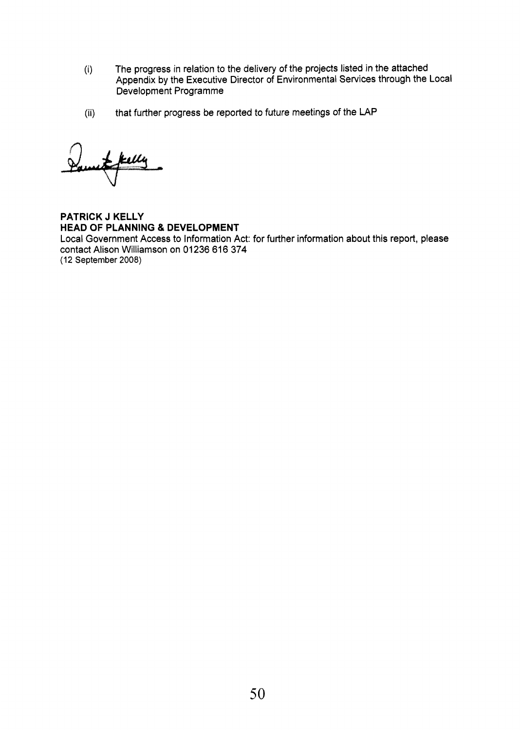- (i) The progress in relation to the delivery of the projects listed in the attached Appendix by the Executive Director of Environmental Services through the Local Development Programme
- (ii) that further progress be reported to future meetings of the **LAP**

**PATRICK J KELLY HEAD OF PLANNING** & **DEVELOPMENT**  Local Government Access to information Act: for further information about this report, please contact Alison Williamson on 01236 616 374 (12 **September 2008)**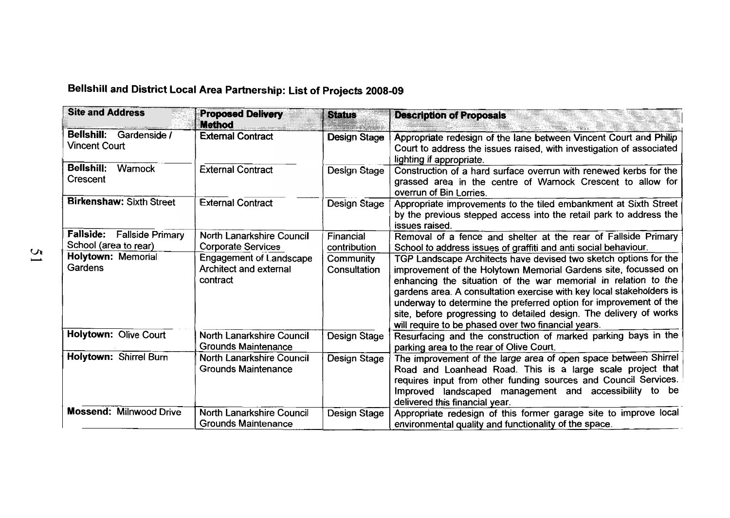# **Bellshill and District Local Area Partnership: List of Projects 2008-09**

| <b>Site and Address</b>                             | <b>Proposed Delivery</b><br><b>Method</b>                     | <b>Status</b>             | <b>Description of Proposals</b>                                                                                                                                                                                                                                                                                                                                                                                                                                                |
|-----------------------------------------------------|---------------------------------------------------------------|---------------------------|--------------------------------------------------------------------------------------------------------------------------------------------------------------------------------------------------------------------------------------------------------------------------------------------------------------------------------------------------------------------------------------------------------------------------------------------------------------------------------|
| Bellshill: Gardenside /<br><b>Vincent Court</b>     | <b>External Contract</b>                                      | <b>Design Stage</b>       | Appropriate redesign of the lane between Vincent Court and Philip<br>Court to address the issues raised, with investigation of associated<br>lighting if appropriate.                                                                                                                                                                                                                                                                                                          |
| <b>Bellshill:</b><br>Warnock<br>Crescent            | <b>External Contract</b>                                      | <b>Design Stage</b>       | Construction of a hard surface overrun with renewed kerbs for the<br>grassed area in the centre of Warnock Crescent to allow for<br>overrun of Bin Lorries.                                                                                                                                                                                                                                                                                                                    |
| <b>Birkenshaw: Sixth Street</b>                     | <b>External Contract</b>                                      | Design Stage              | Appropriate improvements to the tiled embankment at Sixth Street<br>by the previous stepped access into the retail park to address the<br>issues raised.                                                                                                                                                                                                                                                                                                                       |
| Fallside: Fallside Primary<br>School (area to rear) | North Lanarkshire Council<br><b>Corporate Services</b>        | Financial<br>contribution | Removal of a fence and shelter at the rear of Fallside Primary<br>School to address issues of graffiti and anti social behaviour.                                                                                                                                                                                                                                                                                                                                              |
| <b>Holytown: Memorial</b><br>Gardens                | Engagement of Landscape<br>Architect and external<br>contract | Community<br>Consultation | TGP Landscape Architects have devised two sketch options for the<br>improvement of the Holytown Memorial Gardens site, focussed on<br>enhancing the situation of the war memorial in relation to the<br>gardens area. A consultation exercise with key local stakeholders is<br>underway to determine the preferred option for improvement of the<br>site, before progressing to detailed design. The delivery of works<br>will require to be phased over two financial years. |
| Holytown: Olive Court                               | North Lanarkshire Council<br><b>Grounds Maintenance</b>       | Design Stage              | Resurfacing and the construction of marked parking bays in the<br>parking area to the rear of Olive Court.                                                                                                                                                                                                                                                                                                                                                                     |
| Holytown: Shirrel Burn                              | North Lanarkshire Council<br><b>Grounds Maintenance</b>       | Design Stage              | The improvement of the large area of open space between Shirrel<br>Road and Loanhead Road. This is a large scale project that<br>requires input from other funding sources and Council Services.<br>Improved landscaped management and accessibility to be<br>delivered this financial year.                                                                                                                                                                                   |
| <b>Mossend: Milnwood Drive</b>                      | North Lanarkshire Council<br><b>Grounds Maintenance</b>       | Design Stage              | Appropriate redesign of this former garage site to improve local<br>environmental quality and functionality of the space.                                                                                                                                                                                                                                                                                                                                                      |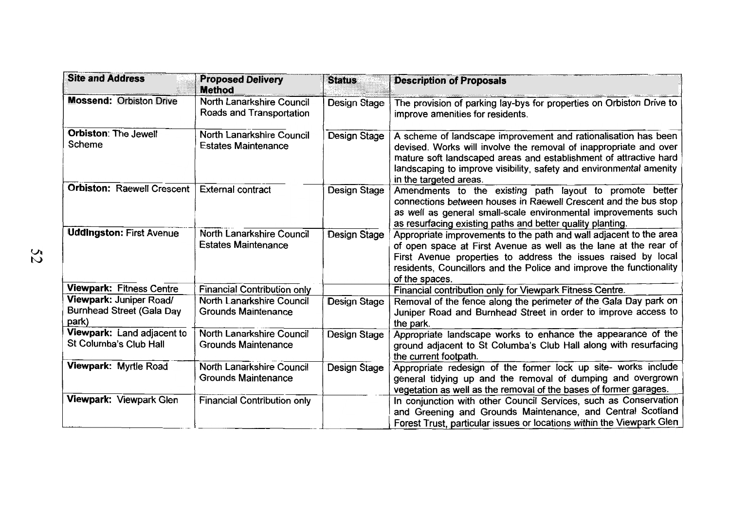| <b>Site and Address</b>                                              | <b>Proposed Delivery</b><br><b>Method</b>               | <b>Status</b>       | <b>Description of Proposals</b>                                                                                                                                                                                                                                                                           |
|----------------------------------------------------------------------|---------------------------------------------------------|---------------------|-----------------------------------------------------------------------------------------------------------------------------------------------------------------------------------------------------------------------------------------------------------------------------------------------------------|
| <b>Mossend: Orbiston Drive</b>                                       | North Lanarkshire Council<br>Roads and Transportation   | Design Stage        | The provision of parking lay-bys for properties on Orbiston Drive to<br>improve amenities for residents.                                                                                                                                                                                                  |
| <b>Orbiston: The Jewell</b><br>Scheme                                | North Lanarkshire Council<br><b>Estates Maintenance</b> | Design Stage        | A scheme of landscape improvement and rationalisation has been<br>devised. Works will involve the removal of inappropriate and over<br>mature soft landscaped areas and establishment of attractive hard<br>landscaping to improve visibility, safety and environmental amenity<br>in the targeted areas. |
| <b>Orbiston: Raewell Crescent</b>                                    | <b>External contract</b>                                | <b>Design Stage</b> | Amendments to the existing path layout to promote better<br>connections between houses in Raewell Crescent and the bus stop<br>as well as general small-scale environmental improvements such<br>as resurfacing existing paths and better quality planting.                                               |
| <b>Uddingston: First Avenue</b>                                      | North Lanarkshire Council<br><b>Estates Maintenance</b> | Design Stage        | Appropriate improvements to the path and wall adjacent to the area<br>of open space at First Avenue as well as the lane at the rear of<br>First Avenue properties to address the issues raised by local<br>residents, Councillors and the Police and improve the functionality<br>of the spaces.          |
| <b>Viewpark: Fitness Centre</b>                                      | <b>Financial Contribution only</b>                      |                     | Financial contribution only for Viewpark Fitness Centre.                                                                                                                                                                                                                                                  |
| Viewpark: Juniper Road/<br><b>Burnhead Street (Gala Day</b><br>park) | North Lanarkshire Council<br><b>Grounds Maintenance</b> | Design Stage        | Removal of the fence along the perimeter of the Gala Day park on<br>Juniper Road and Burnhead Street in order to improve access to<br>the park.                                                                                                                                                           |
| Viewpark: Land adjacent to<br>St Columba's Club Hall                 | North Lanarkshire Council<br><b>Grounds Maintenance</b> | Design Stage        | Appropriate landscape works to enhance the appearance of the<br>ground adjacent to St Columba's Club Hall along with resurfacing<br>the current footpath.                                                                                                                                                 |
| Viewpark: Myrtle Road                                                | North Lanarkshire Council<br><b>Grounds Maintenance</b> | Design Stage        | Appropriate redesign of the former lock up site- works include<br>general tidying up and the removal of dumping and overgrown<br>vegetation as well as the removal of the bases of former garages.                                                                                                        |
| Viewpark: Viewpark Glen                                              | <b>Financial Contribution only</b>                      |                     | In conjunction with other Council Services, such as Conservation<br>and Greening and Grounds Maintenance, and Central Scotland<br>Forest Trust, particular issues or locations within the Viewpark Glen                                                                                                   |